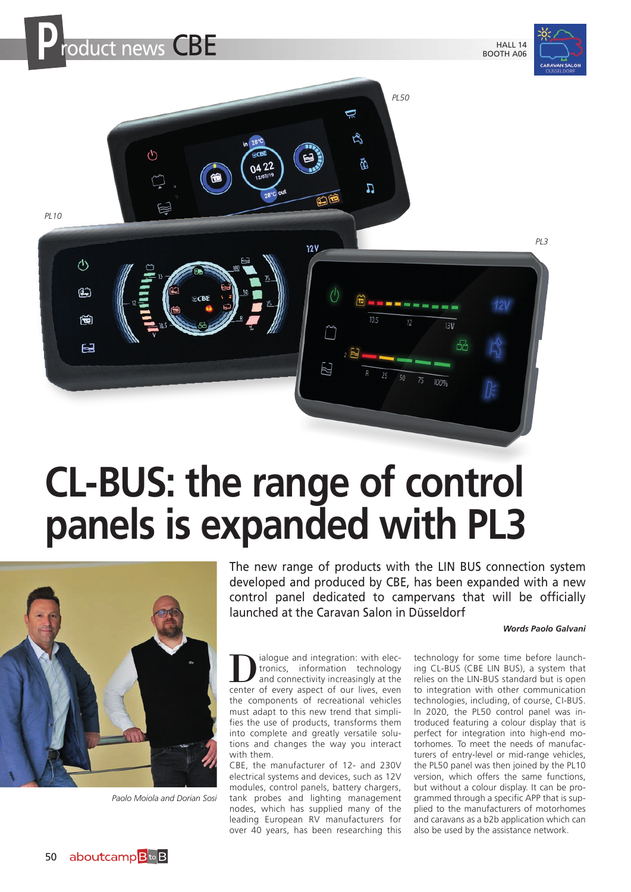

# **CL-BUS: the range of control panels is expanded with PL3**



*Paolo Moiola and Dorian Sosi*

The new range of products with the LIN BUS connection system developed and produced by CBE, has been expanded with a new control panel dedicated to campervans that will be officially launched at the Caravan Salon in Düsseldorf

### *Words Paolo Galvani*

**D** ialogue and integration: with electronics, information technology<br>and connectivity increasingly at the<br>center of every aspect of our lives even tronics, information technology center of every aspect of our lives, even the components of recreational vehicles must adapt to this new trend that simplifies the use of products, transforms them into complete and greatly versatile solutions and changes the way you interact with them.

CBE, the manufacturer of 12- and 230V electrical systems and devices, such as 12V modules, control panels, battery chargers, tank probes and lighting management nodes, which has supplied many of the leading European RV manufacturers for over 40 years, has been researching this

technology for some time before launching CL-BUS (CBE LIN BUS), a system that relies on the LIN-BUS standard but is open to integration with other communication technologies, including, of course, CI-BUS. In 2020, the PL50 control panel was introduced featuring a colour display that is perfect for integration into high-end motorhomes. To meet the needs of manufacturers of entry-level or mid-range vehicles, the PL50 panel was then joined by the PL10 version, which offers the same functions, but without a colour display. It can be programmed through a specific APP that is supplied to the manufacturers of motorhomes and caravans as a b2b application which can also be used by the assistance network.